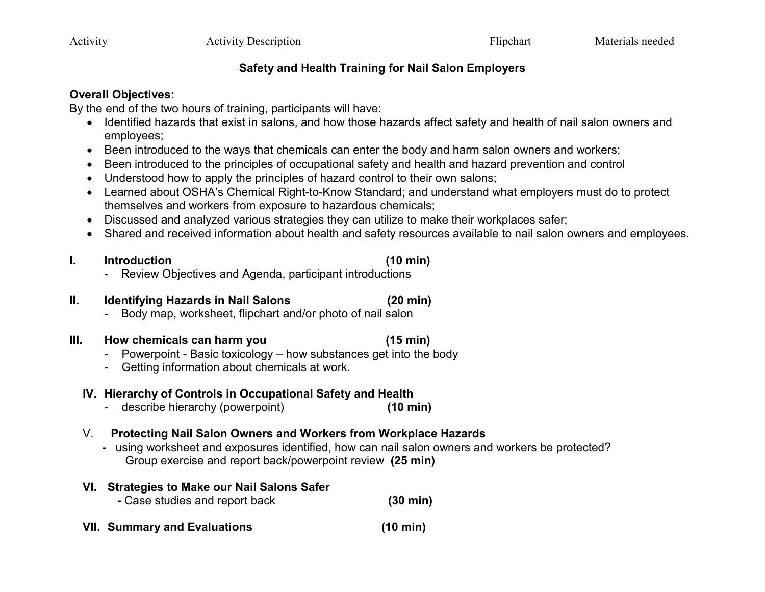### **Safety and Health Training for Nail Salon Employers**

#### **Overall Objectives:**

By the end of the two hours of training, participants will have:

- Identified hazards that exist in salons, and how those hazards affect safety and health of nail salon owners and employees;
- Been introduced to the ways that chemicals can enter the body and harm salon owners and workers;
- Been introduced to the principles of occupational safety and health and hazard prevention and control
- Understood how to apply the principles of hazard control to their own salons;
- Learned about OSHA's Chemical Right-to-Know Standard; and understand what employers must do to protect themselves and workers from exposure to hazardous chemicals;
- Discussed and analyzed various strategies they can utilize to make their workplaces safer;
- Shared and received information about health and safety resources available to nail salon owners and employees.

#### **I. Introduction (10 min)**

- Review Objectives and Agenda, participant introductions

# **II. Identifying Hazards in Nail Salons (20 min)**

- Body map, worksheet, flipchart and/or photo of nail salon

# **III. How chemicals can harm you (15 min)**

- Powerpoint Basic toxicology how substances get into the body
- Getting information about chemicals at work.

# **IV. Hierarchy of Controls in Occupational Safety and Health**

- describe hierarchy (powerpoint) **(10 min)**

# V. **Protecting Nail Salon Owners and Workers from Workplace Hazards**

 **-** using worksheet and exposures identified, how can nail salon owners and workers be protected? Group exercise and report back/powerpoint review **(25 min)**

# **VI. Strategies to Make our Nail Salons Safer -** Case studies and report back **(30 min) VII. Summary and Evaluations (10 min)**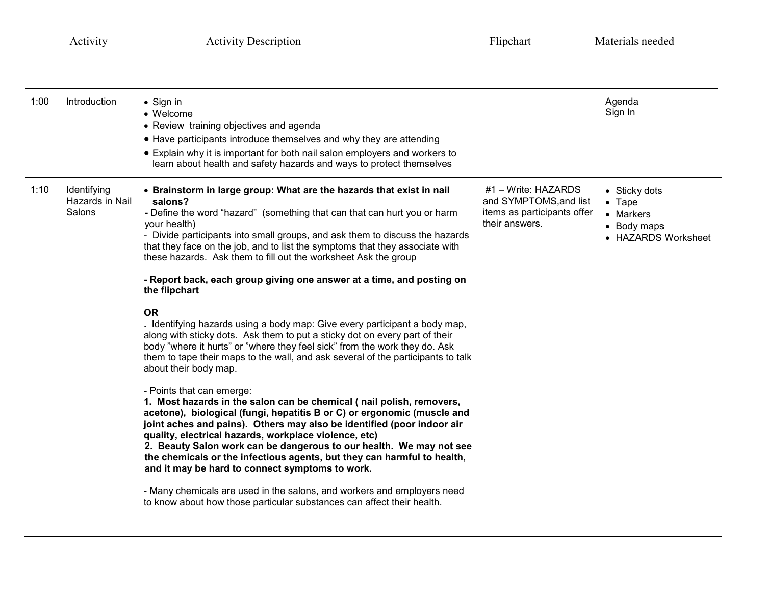| 1:00 | Introduction                             | • Sign in<br>• Welcome<br>• Review training objectives and agenda<br>• Have participants introduce themselves and why they are attending<br>• Explain why it is important for both nail salon employers and workers to<br>learn about health and safety hazards and ways to protect themselves                                                                                                                                                                                                                       |                                                                                                  | Agenda<br>Sign In                                                                  |
|------|------------------------------------------|----------------------------------------------------------------------------------------------------------------------------------------------------------------------------------------------------------------------------------------------------------------------------------------------------------------------------------------------------------------------------------------------------------------------------------------------------------------------------------------------------------------------|--------------------------------------------------------------------------------------------------|------------------------------------------------------------------------------------|
| 1:10 | Identifying<br>Hazards in Nail<br>Salons | • Brainstorm in large group: What are the hazards that exist in nail<br>salons?<br>- Define the word "hazard" (something that can that can hurt you or harm<br>your health)<br>- Divide participants into small groups, and ask them to discuss the hazards<br>that they face on the job, and to list the symptoms that they associate with<br>these hazards. Ask them to fill out the worksheet Ask the group                                                                                                       | $#1 - Write: HAZARDS$<br>and SYMPTOMS, and list<br>items as participants offer<br>their answers. | • Sticky dots<br>$\bullet$ Tape<br>• Markers<br>• Body maps<br>• HAZARDS Worksheet |
|      |                                          | - Report back, each group giving one answer at a time, and posting on<br>the flipchart                                                                                                                                                                                                                                                                                                                                                                                                                               |                                                                                                  |                                                                                    |
|      |                                          | <b>OR</b><br>. Identifying hazards using a body map: Give every participant a body map,<br>along with sticky dots. Ask them to put a sticky dot on every part of their<br>body "where it hurts" or "where they feel sick" from the work they do. Ask<br>them to tape their maps to the wall, and ask several of the participants to talk<br>about their body map.                                                                                                                                                    |                                                                                                  |                                                                                    |
|      |                                          | - Points that can emerge:<br>1. Most hazards in the salon can be chemical (nail polish, removers,<br>acetone), biological (fungi, hepatitis B or C) or ergonomic (muscle and<br>joint aches and pains). Others may also be identified (poor indoor air<br>quality, electrical hazards, workplace violence, etc)<br>2. Beauty Salon work can be dangerous to our health. We may not see<br>the chemicals or the infectious agents, but they can harmful to health,<br>and it may be hard to connect symptoms to work. |                                                                                                  |                                                                                    |
|      |                                          | - Many chemicals are used in the salons, and workers and employers need<br>to know about how those particular substances can affect their health.                                                                                                                                                                                                                                                                                                                                                                    |                                                                                                  |                                                                                    |